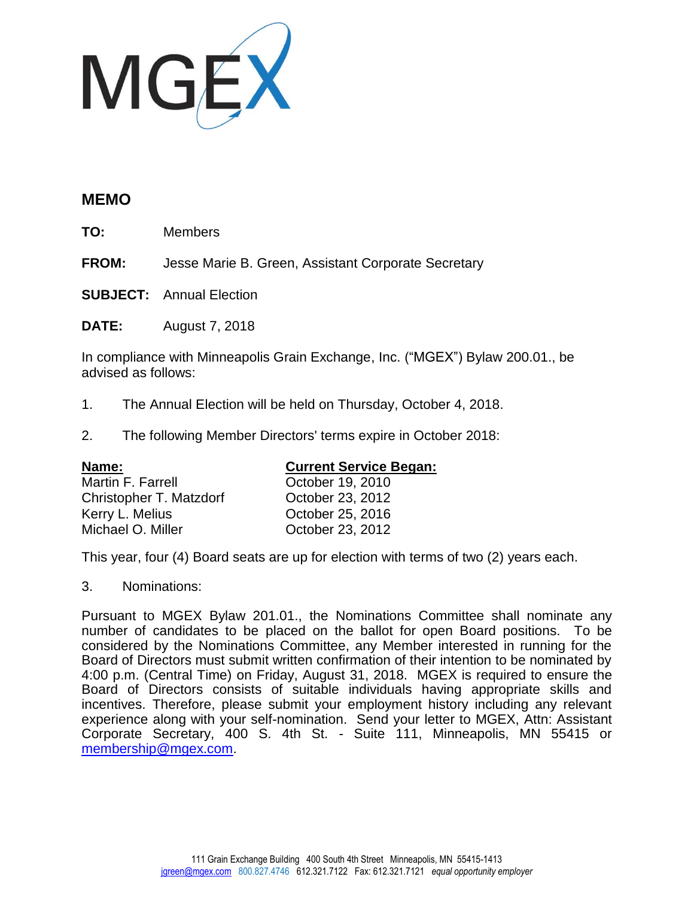

## **MEMO**

**TO:** Members

**FROM:** Jesse Marie B. Green, Assistant Corporate Secretary

**SUBJECT:** Annual Election

**DATE:** August 7, 2018

In compliance with Minneapolis Grain Exchange, Inc. ("MGEX") Bylaw 200.01., be advised as follows:

- 1. The Annual Election will be held on Thursday, October 4, 2018.
- 2. The following Member Directors' terms expire in October 2018:

| Name:                   | <b>Current Service Began:</b> |
|-------------------------|-------------------------------|
| Martin F. Farrell       | October 19, 2010              |
| Christopher T. Matzdorf | October 23, 2012              |
| Kerry L. Melius         | October 25, 2016              |
| Michael O. Miller       | October 23, 2012              |
|                         |                               |

This year, four (4) Board seats are up for election with terms of two (2) years each.

3. Nominations:

Pursuant to MGEX Bylaw 201.01., the Nominations Committee shall nominate any number of candidates to be placed on the ballot for open Board positions. To be considered by the Nominations Committee, any Member interested in running for the Board of Directors must submit written confirmation of their intention to be nominated by 4:00 p.m. (Central Time) on Friday, August 31, 2018. MGEX is required to ensure the Board of Directors consists of suitable individuals having appropriate skills and incentives. Therefore, please submit your employment history including any relevant experience along with your self-nomination. Send your letter to MGEX, Attn: Assistant Corporate Secretary, 400 S. 4th St. - Suite 111, Minneapolis, MN 55415 or [membership@mgex.com.](mailto:membership@mgex.com)